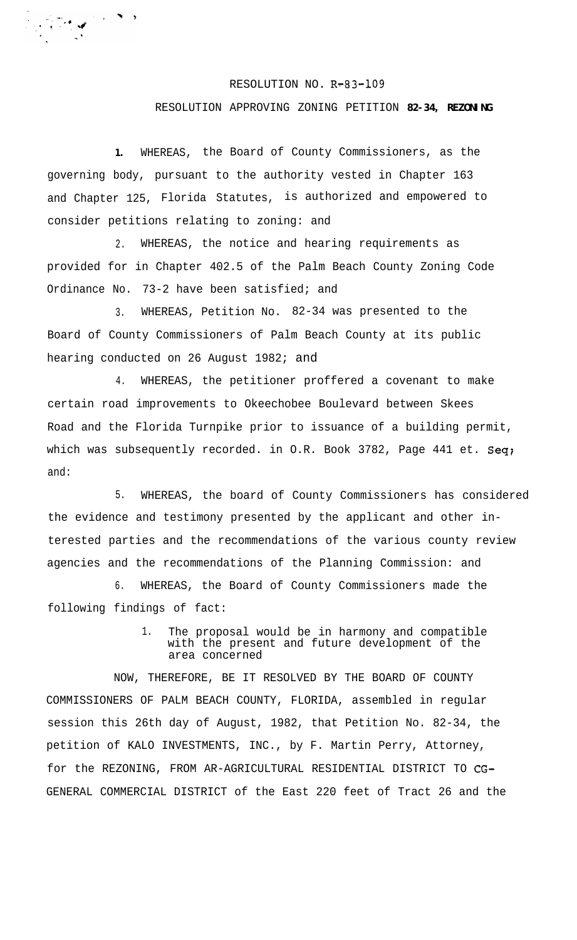## RESOLUTION NO. R-83-109

## RESOLUTION APPROVING ZONING PETITION **82-34, REZONING**

**1.** WHEREAS, the Board of County Commissioners, as the governing body, pursuant to the authority vested in Chapter 163 and Chapter 125, Florida Statutes, is authorized and empowered to consider petitions relating to zoning: and

2. WHEREAS, the notice and hearing requirements as provided for in Chapter 402.5 of the Palm Beach County Zoning Code Ordinance No. 73-2 have been satisfied; and

3. WHEREAS, Petition No. 82-34 was presented to the Board of County Commissioners of Palm Beach County at its public hearing conducted on 26 August 1982; and

4. WHEREAS, the petitioner proffered a covenant to make certain road improvements to Okeechobee Boulevard between Skees Road and the Florida Turnpike prior to issuance of a building permit, which was subsequently recorded. in O.R. Book 3782, Page 441 et. Seq; and:

5. WHEREAS, the board of County Commissioners has considered the evidence and testimony presented by the applicant and other interested parties and the recommendations of the various county review agencies and the recommendations of the Planning Commission: and

6. WHEREAS, the Board of County Commissioners made the following findings of fact:

> 1. The proposal would be in harmony and compatible with the present and future development of the area concerned

NOW, THEREFORE, BE IT RESOLVED BY THE BOARD OF COUNTY COMMISSIONERS OF PALM BEACH COUNTY, FLORIDA, assembled in regular session this 26th day of August, 1982, that Petition No. 82-34, the petition of KALO INVESTMENTS, INC., by F. Martin Perry, Attorney, for the REZONING, FROM AR-AGRICULTURAL RESIDENTIAL DISTRICT TO CG-GENERAL COMMERCIAL DISTRICT of the East 220 feet of Tract 26 and the